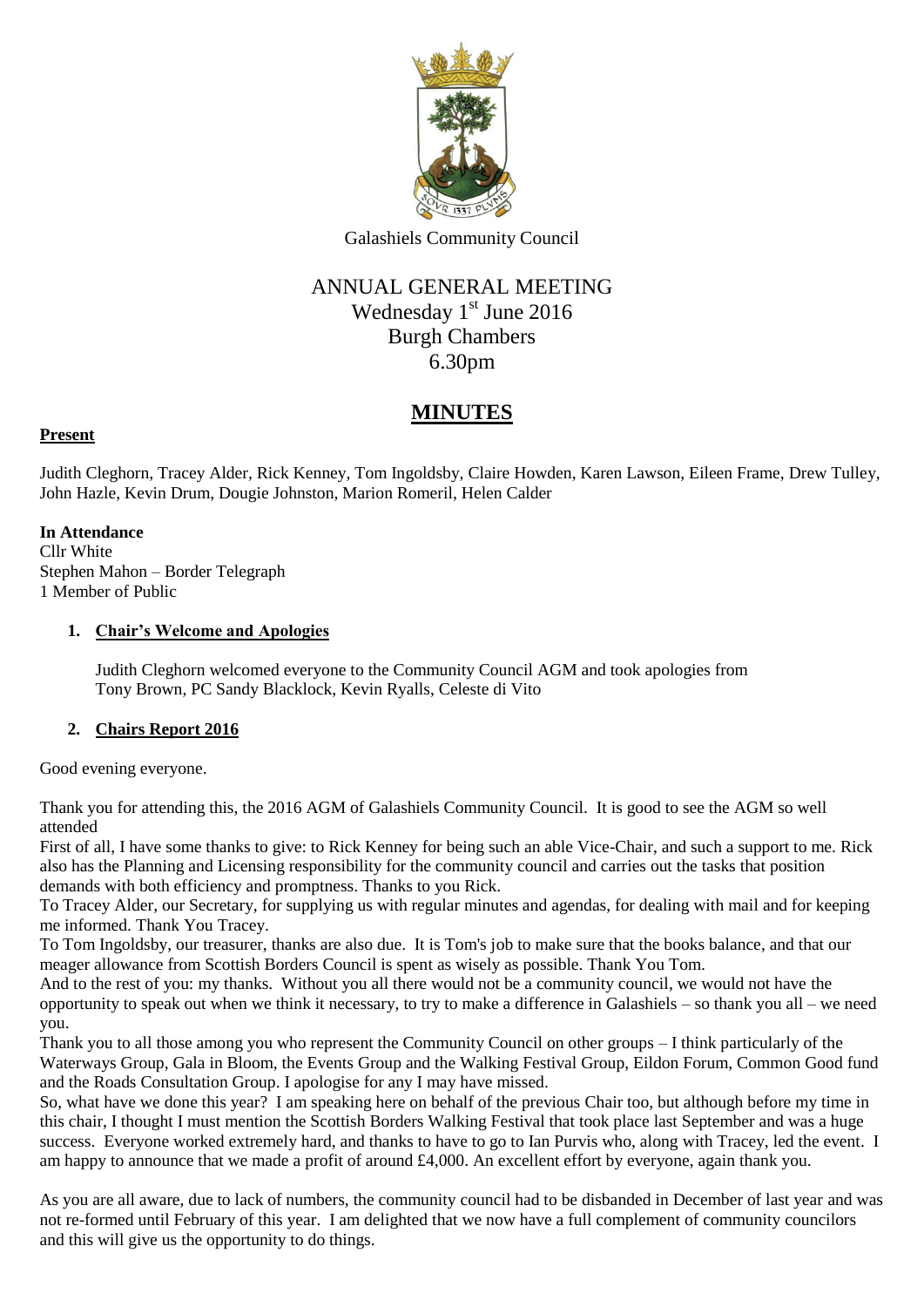

Galashiels Community Council

# ANNUAL GENERAL MEETING Wednesday 1<sup>st</sup> June 2016 Burgh Chambers 6.30pm

# **MINUTES**

### **Present**

Judith Cleghorn, Tracey Alder, Rick Kenney, Tom Ingoldsby, Claire Howden, Karen Lawson, Eileen Frame, Drew Tulley, John Hazle, Kevin Drum, Dougie Johnston, Marion Romeril, Helen Calder

### **In Attendance**

Cllr White Stephen Mahon – Border Telegraph 1 Member of Public

### **1. Chair's Welcome and Apologies**

Judith Cleghorn welcomed everyone to the Community Council AGM and took apologies from Tony Brown, PC Sandy Blacklock, Kevin Ryalls, Celeste di Vito

### **2. Chairs Report 2016**

Good evening everyone.

Thank you for attending this, the 2016 AGM of Galashiels Community Council. It is good to see the AGM so well attended

First of all, I have some thanks to give: to Rick Kenney for being such an able Vice-Chair, and such a support to me. Rick also has the Planning and Licensing responsibility for the community council and carries out the tasks that position demands with both efficiency and promptness. Thanks to you Rick.

To Tracey Alder, our Secretary, for supplying us with regular minutes and agendas, for dealing with mail and for keeping me informed. Thank You Tracey.

To Tom Ingoldsby, our treasurer, thanks are also due. It is Tom's job to make sure that the books balance, and that our meager allowance from Scottish Borders Council is spent as wisely as possible. Thank You Tom.

And to the rest of you: my thanks. Without you all there would not be a community council, we would not have the opportunity to speak out when we think it necessary, to try to make a difference in Galashiels – so thank you all – we need you.

Thank you to all those among you who represent the Community Council on other groups – I think particularly of the Waterways Group, Gala in Bloom, the Events Group and the Walking Festival Group, Eildon Forum, Common Good fund and the Roads Consultation Group. I apologise for any I may have missed.

So, what have we done this year? I am speaking here on behalf of the previous Chair too, but although before my time in this chair, I thought I must mention the Scottish Borders Walking Festival that took place last September and was a huge success. Everyone worked extremely hard, and thanks to have to go to Ian Purvis who, along with Tracey, led the event. I am happy to announce that we made a profit of around £4,000. An excellent effort by everyone, again thank you.

As you are all aware, due to lack of numbers, the community council had to be disbanded in December of last year and was not re-formed until February of this year. I am delighted that we now have a full complement of community councilors and this will give us the opportunity to do things.